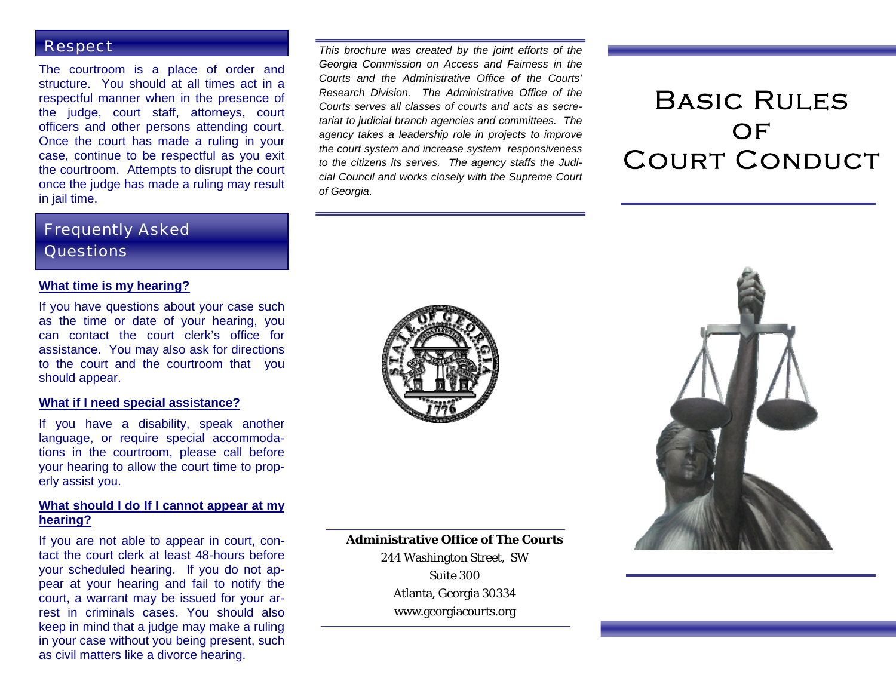#### Respect

The courtroom is a place of order and structure. You should at all times act in a respectful manner when in the presence of the judge, court staff, attorneys, court officers and other persons attending court. Once the court has made a ruling in your case, continue to be respectful as you exit the courtroom. Attempts to disrupt the court once the judge has made a ruling may result in jail time.

## Frequently Asked **Questions**

#### **What time is my hearing?**

If you have questions about your case such as the time or date of your hearing, you can contact the court clerk's office for assistance. You may also ask for directions to the court and the courtroom that you should appear.

#### **What if I need special assistance?**

If you have a disability, speak another language, or require special accommodations in the courtroom, please call before your hearing to allow the court time to properly assist you.

#### **What should I do If I cannot appear at my hearing?**

If you are not able to appear in court, contact the court clerk at least 48-hours before your scheduled hearing. If you do not appear at your hearing and fail to notify the court, a warrant may be issued for your arrest in criminals cases. You should also keep in mind that a judge may make a ruling in your case without you being present, such as civil matters like a divorce hearing.

*This brochure was created by the joint efforts of the Georgia Commission on Access and Fairness in the Courts and the Administrative Office of the Courts' Research Division. The Administrative Office of the Courts serves all classes of courts and acts as secretariat to judicial branch agencies and committees. The agency takes a leadership role in projects to improve the court system and increase system responsiveness to the citizens its serves. The agency staffs the Judicial Council and works closely with the Supreme Court of Georgia*.

# Basic Rules  $OF$ Court Conduct





**Administrative Office of The Courts** 244 Washington Street, SW Suite 300 Atlanta, Georgia 30334

www.georgiacourts.org